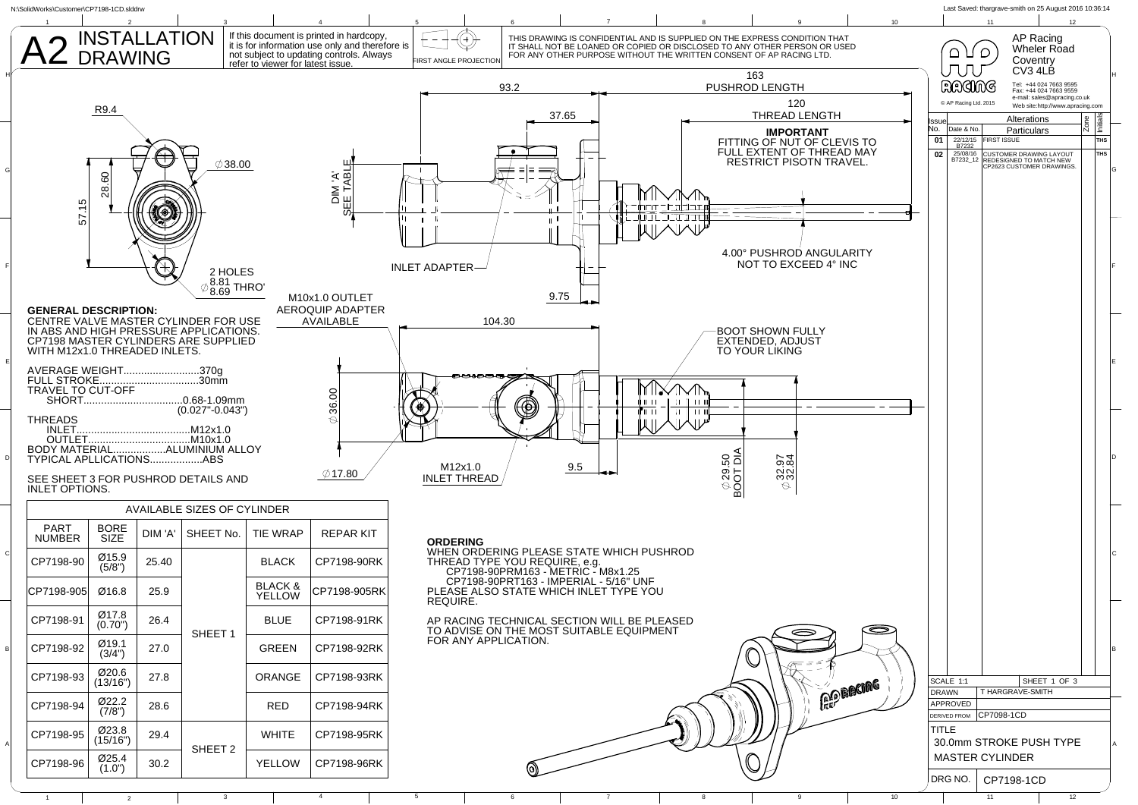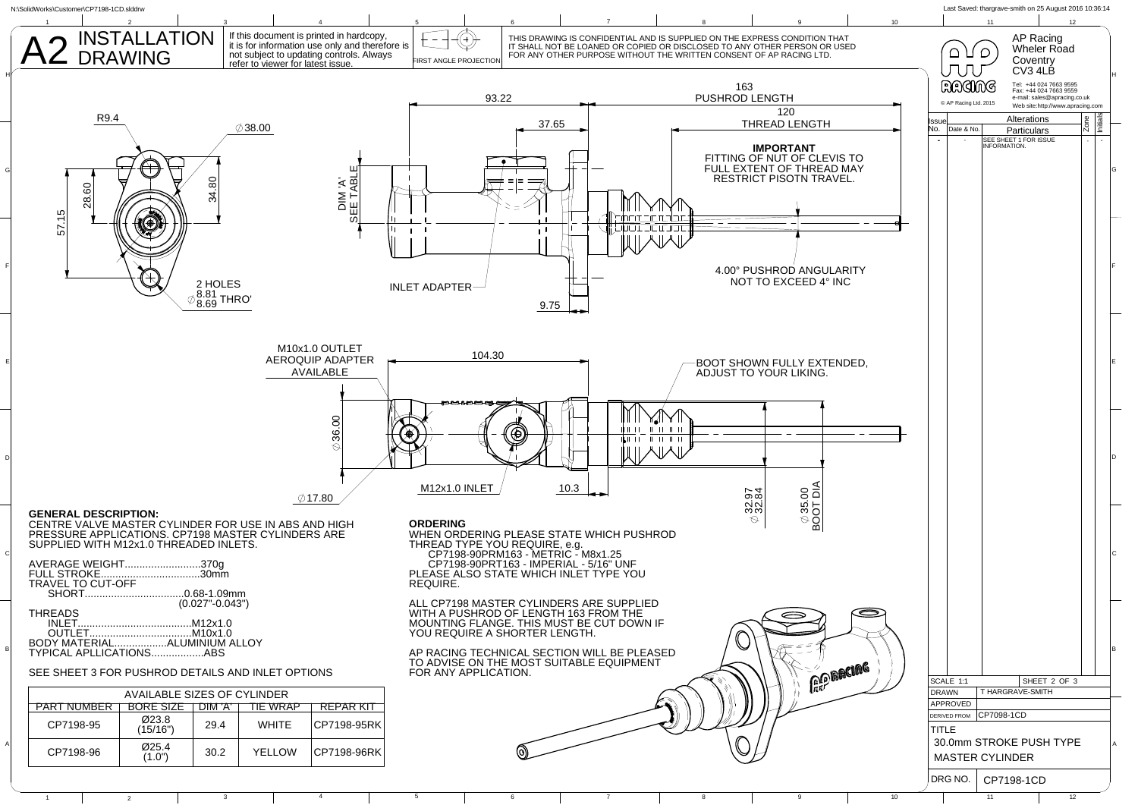